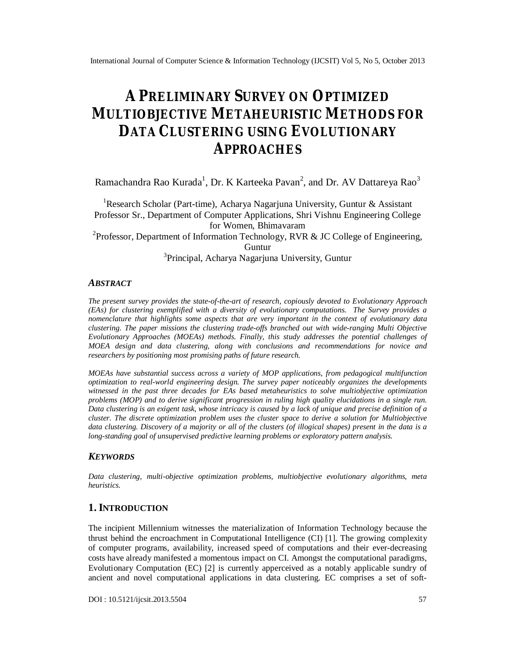# **A PRELIMINARY SURVEY ON OPTIMIZED MULTIOBJECTIVE METAHEURISTIC METHODS FOR DATA CLUSTERING USING EVOLUTIONARY APPROACHES**

Ramachandra Rao Kurada $^1$ , Dr. K Karteeka Pavan $^2$ , and Dr. AV Dattareya Rao $^3$ 

<sup>1</sup>Research Scholar (Part-time), Acharya Nagarjuna University, Guntur & Assistant Professor Sr., Department of Computer Applications, Shri Vishnu Engineering College for Women, Bhimavaram <sup>2</sup>Professor, Department of Information Technology, RVR & JC College of Engineering, Guntur <sup>3</sup> Principal, Acharya Nagarjuna University, Guntur

#### *ABSTRACT*

*The present survey provides the state-of-the-art of research, copiously devoted to Evolutionary Approach (EAs) for clustering exemplified with a diversity of evolutionary computations. The Survey provides a nomenclature that highlights some aspects that are very important in the context of evolutionary data clustering. The paper missions the clustering trade-offs branched out with wide-ranging Multi Objective Evolutionary Approaches (MOEAs) methods. Finally, this study addresses the potential challenges of MOEA design and data clustering, along with conclusions and recommendations for novice and researchers by positioning most promising paths of future research.*

*MOEAs have substantial success across a variety of MOP applications, from pedagogical multifunction optimization to real-world engineering design. The survey paper noticeably organizes the developments witnessed in the past three decades for EAs based metaheuristics to solve multiobjective optimization problems (MOP) and to derive significant progression in ruling high quality elucidations in a single run. Data clustering is an exigent task, whose intricacy is caused by a lack of unique and precise definition of a cluster. The discrete optimization problem uses the cluster space to derive a solution for Multiobjective data clustering. Discovery of a majority or all of the clusters (of illogical shapes) present in the data is a long-standing goal of unsupervised predictive learning problems or exploratory pattern analysis.*

#### *KEYWORDS*

*Data clustering, multi-objective optimization problems, multiobjective evolutionary algorithms, meta heuristics.*

# **1.INTRODUCTION**

The incipient Millennium witnesses the materialization of Information Technology because the thrust behind the encroachment in Computational Intelligence (CI) [1]. The growing complexity of computer programs, availability, increased speed of computations and their ever-decreasing costs have already manifested a momentous impact on CI. Amongst the computational paradigms, Evolutionary Computation (EC) [2] is currently apperceived as a notably applicable sundry of ancient and novel computational applications in data clustering. EC comprises a set of soft-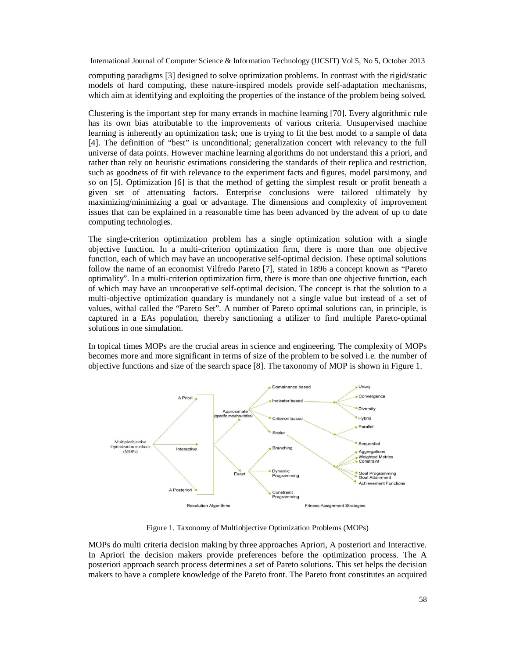computing paradigms [3] designed to solve optimization problems. In contrast with the rigid/static models of hard computing, these nature-inspired models provide self-adaptation mechanisms, which aim at identifying and exploiting the properties of the instance of the problem being solved.

Clustering is the important step for many errands in machine learning [70]. Every algorithmic rule has its own bias attributable to the improvements of various criteria. Unsupervised machine learning is inherently an optimization task; one is trying to fit the best model to a sample of data [4]. The definition of "best" is unconditional; generalization concert with relevancy to the full universe of data points. However machine learning algorithms do not understand this a priori, and rather than rely on heuristic estimations considering the standards of their replica and restriction, such as goodness of fit with relevance to the experiment facts and figures, model parsimony, and so on [5]. Optimization [6] is that the method of getting the simplest result or profit beneath a given set of attenuating factors. Enterprise conclusions were tailored ultimately by maximizing/minimizing a goal or advantage. The dimensions and complexity of improvement issues that can be explained in a reasonable time has been advanced by the advent of up to date computing technologies.

The single-criterion optimization problem has a single optimization solution with a single objective function. In a multi-criterion optimization firm, there is more than one objective function, each of which may have an uncooperative self-optimal decision. These optimal solutions follow the name of an economist Vilfredo Pareto [7], stated in 1896 a concept known as "Pareto optimality". In a multi-criterion optimization firm, there is more than one objective function, each of which may have an uncooperative self-optimal decision. The concept is that the solution to a multi-objective optimization quandary is mundanely not a single value but instead of a set of values, withal called the "Pareto Set". A number of Pareto optimal solutions can, in principle, is captured in a EAs population, thereby sanctioning a utilizer to find multiple Pareto-optimal solutions in one simulation.

In topical times MOPs are the crucial areas in science and engineering. The complexity of MOPs becomes more and more significant in terms of size of the problem to be solved i.e. the number of objective functions and size of the search space [8]. The taxonomy of MOP is shown in Figure 1.



Figure 1. Taxonomy of Multiobjective Optimization Problems (MOPs)

MOPs do multi criteria decision making by three approaches Apriori, A posteriori and Interactive. In Apriori the decision makers provide preferences before the optimization process. The A posteriori approach search process determines a set of Pareto solutions. This set helps the decision makers to have a complete knowledge of the Pareto front. The Pareto front constitutes an acquired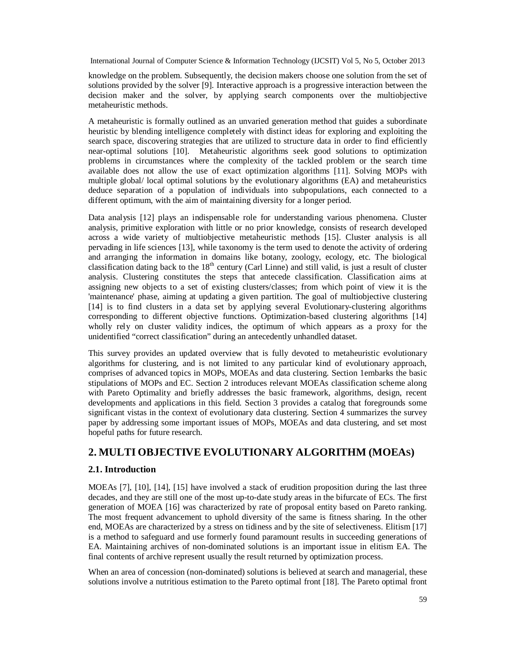knowledge on the problem. Subsequently, the decision makers choose one solution from the set of solutions provided by the solver [9]. Interactive approach is a progressive interaction between the decision maker and the solver, by applying search components over the multiobjective metaheuristic methods.

A metaheuristic is formally outlined as an unvaried generation method that guides a subordinate heuristic by blending intelligence completely with distinct ideas for exploring and exploiting the search space, discovering strategies that are utilized to structure data in order to find efficiently near-optimal solutions [10]. Metaheuristic algorithms seek good solutions to optimization problems in circumstances where the complexity of the tackled problem or the search time available does not allow the use of exact optimization algorithms [11]. Solving MOPs with multiple global/ local optimal solutions by the evolutionary algorithms (EA) and metaheuristics deduce separation of a population of individuals into subpopulations, each connected to a different optimum, with the aim of maintaining diversity for a longer period.

Data analysis [12] plays an indispensable role for understanding various phenomena. Cluster analysis, primitive exploration with little or no prior knowledge, consists of research developed across a wide variety of multiobjective metaheuristic methods [15]. Cluster analysis is all pervading in life sciences [13], while taxonomy is the term used to denote the activity of ordering and arranging the information in domains like botany, zoology, ecology, etc. The biological classification dating back to the  $18<sup>th</sup>$  century (Carl Linne) and still valid, is just a result of cluster analysis. Clustering constitutes the steps that antecede classification. Classification aims at assigning new objects to a set of existing clusters/classes; from which point of view it is the 'maintenance' phase, aiming at updating a given partition. The goal of multiobjective clustering [14] is to find clusters in a data set by applying several Evolutionary-clustering algorithms corresponding to different objective functions. Optimization-based clustering algorithms [14] wholly rely on cluster validity indices, the optimum of which appears as a proxy for the unidentified "correct classification" during an antecedently unhandled dataset.

This survey provides an updated overview that is fully devoted to metaheuristic evolutionary algorithms for clustering, and is not limited to any particular kind of evolutionary approach, comprises of advanced topics in MOPs, MOEAs and data clustering. Section 1embarks the basic stipulations of MOPs and EC. Section 2 introduces relevant MOEAs classification scheme along with Pareto Optimality and briefly addresses the basic framework, algorithms, design, recent developments and applications in this field. Section 3 provides a catalog that foregrounds some significant vistas in the context of evolutionary data clustering. Section 4 summarizes the survey paper by addressing some important issues of MOPs, MOEAs and data clustering, and set most hopeful paths for future research.

# **2. MULTI OBJECTIVE EVOLUTIONARY ALGORITHM (MOEAS)**

# **2.1. Introduction**

MOEAs [7], [10], [14], [15] have involved a stack of erudition proposition during the last three decades, and they are still one of the most up-to-date study areas in the bifurcate of ECs. The first generation of MOEA [16] was characterized by rate of proposal entity based on Pareto ranking. The most frequent advancement to uphold diversity of the same is fitness sharing. In the other end, MOEAs are characterized by a stress on tidiness and by the site of selectiveness. Elitism [17] is a method to safeguard and use formerly found paramount results in succeeding generations of EA. Maintaining archives of non-dominated solutions is an important issue in elitism EA. The final contents of archive represent usually the result returned by optimization process.

When an area of concession (non-dominated) solutions is believed at search and managerial, these solutions involve a nutritious estimation to the Pareto optimal front [18]. The Pareto optimal front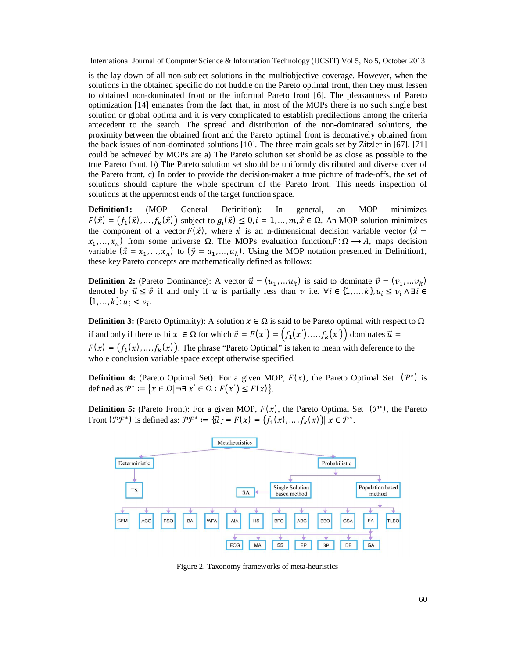is the lay down of all non-subject solutions in the multiobjective coverage. However, when the solutions in the obtained specific do not huddle on the Pareto optimal front, then they must lessen to obtained non-dominated front or the informal Pareto front [6]. The pleasantness of Pareto optimization [14] emanates from the fact that, in most of the MOPs there is no such single best solution or global optima and it is very complicated to establish predilections among the criteria antecedent to the search. The spread and distribution of the non-dominated solutions, the proximity between the obtained front and the Pareto optimal front is decoratively obtained from the back issues of non-dominated solutions [10]. The three main goals set by Zitzler in [67], [71] could be achieved by MOPs are a) The Pareto solution set should be as close as possible to the true Pareto front, b) The Pareto solution set should be uniformly distributed and diverse over of the Pareto front, c) In order to provide the decision-maker a true picture of trade-offs, the set of solutions should capture the whole spectrum of the Pareto front. This needs inspection of solutions at the uppermost ends of the target function space.

**Definition1:** (MOP General Definition): In general, an MOP minimizes  $F(\vec{x}) = (f_1(\vec{x}),...,f_k(\vec{x}))$  subject to  $g_i(\vec{x}) \leq 0$ ,  $i = 1,...,m$ ,  $\vec{x} \in \Omega$ . An MOP solution minimizes the component of a vector  $F(\vec{x})$ , where  $\vec{x}$  is an n-dimensional decision variable vector  $(\vec{x} =$  $x_1, \ldots, x_n$ ) from some universe  $\Omega$ . The MOPs evaluation function,  $F: \Omega \to A$ , maps decision variable  $(\vec{x} = x_1, ..., x_n)$  to  $(\vec{y} = a_1, ..., a_k)$ . Using the MOP notation presented in Definition1, these key Pareto concepts are mathematically defined as follows:

**Definition 2:** (Pareto Dominance): A vector  $\vec{u} = (u_1, \dots u_k)$  is said to dominate  $\vec{v} = (v_1, \dots v_k)$ denoted by  $\vec{u} \leq \vec{v}$  if and only if  $u$  is partially less than  $v$  i.e.  $\forall i \in \{1, ..., k\}, u_i \leq v_i \land \exists i \in$  $\{1, \ldots, k\}: u_i < v_i.$ 

**Definition 3:** (Pareto Optimality): A solution  $x \in \Omega$  is said to be Pareto optimal with respect to  $\Omega$ if and only if there us bi  $x' \in \Omega$  for which  $\vec{v} = F(x') = (f_1(x'), \dots, f_k(x'))$  dominates  $\vec{u} =$  $F(x) = (f_1(x),...,f_k(x))$ . The phrase "Pareto Optimal" is taken to mean with deference to the whole conclusion variable space except otherwise specified.

**Definition 4:** (Pareto Optimal Set): For a given MOP,  $F(x)$ , the Pareto Optimal Set  $(\mathcal{P}^*)$  is defined as  $\mathcal{P}^* \coloneqq \{x \in \Omega \mid \neg \exists x' \in \Omega : F(x') \leq F(x)\}.$ 

**Definition 5:** (Pareto Front): For a given MOP,  $F(x)$ , the Pareto Optimal Set  $(\mathcal{P}^*)$ , the Pareto Front  $(\mathcal{PF}^*)$  is defined as:  $\mathcal{PF}^* \coloneqq {\overrightarrow{u}} = F(x) = (f_1(x),...,f_k(x)) | x \in \mathcal{P}^*$ .



Figure 2. Taxonomy frameworks of meta-heuristics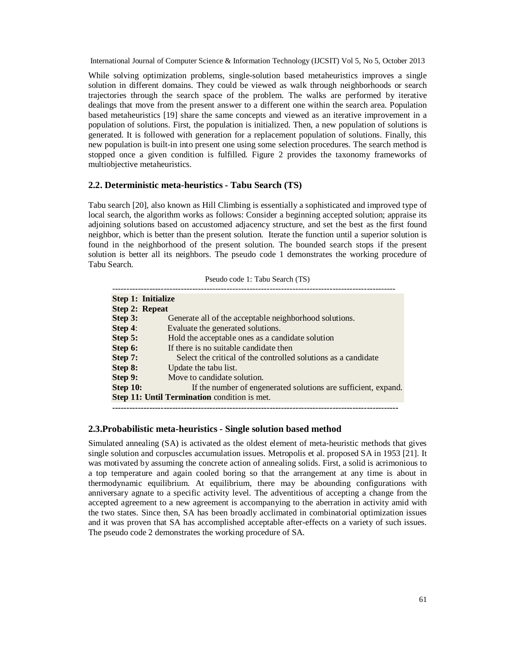While solving optimization problems, single-solution based metaheuristics improves a single solution in different domains. They could be viewed as walk through neighborhoods or search trajectories through the search space of the problem. The walks are performed by iterative dealings that move from the present answer to a different one within the search area. Population based metaheuristics [19] share the same concepts and viewed as an iterative improvement in a population of solutions. First, the population is initialized. Then, a new population of solutions is generated. It is followed with generation for a replacement population of solutions. Finally, this new population is built-in into present one using some selection procedures. The search method is stopped once a given condition is fulfilled. Figure 2 provides the taxonomy frameworks of multiobjective metaheuristics.

# **2.2. Deterministic meta-heuristics - Tabu Search (TS)**

Tabu search [20], also known as Hill Climbing is essentially a sophisticated and improved type of local search, the algorithm works as follows: Consider a beginning accepted solution; appraise its adjoining solutions based on accustomed adjacency structure, and set the best as the first found neighbor, which is better than the present solution. Iterate the function until a superior solution is found in the neighborhood of the present solution. The bounded search stops if the present solution is better all its neighbors. The pseudo code 1 demonstrates the working procedure of Tabu Search.

| Pseudo code 1: Tabu Search (TS) |  |  |  |  |
|---------------------------------|--|--|--|--|
|---------------------------------|--|--|--|--|

|                                                     | Step 1: Initialize                                             |
|-----------------------------------------------------|----------------------------------------------------------------|
| <b>Step 2: Repeat</b>                               |                                                                |
| Step 3:                                             | Generate all of the acceptable neighborhood solutions.         |
| Step 4:                                             | Evaluate the generated solutions.                              |
| Step 5:                                             | Hold the acceptable ones as a candidate solution               |
| Step 6:                                             | If there is no suitable candidate then                         |
| Step 7:                                             | Select the critical of the controlled solutions as a candidate |
| Step 8:                                             | Update the tabu list.                                          |
| Step 9:                                             | Move to candidate solution.                                    |
| <b>Step 10:</b>                                     | If the number of engenerated solutions are sufficient, expand. |
| <b>Step 11: Until Termination</b> condition is met. |                                                                |
|                                                     |                                                                |

#### **2.3.Probabilistic meta-heuristics - Single solution based method**

Simulated annealing (SA) is activated as the oldest element of meta-heuristic methods that gives single solution and corpuscles accumulation issues. Metropolis et al. proposed SA in 1953 [21]. It was motivated by assuming the concrete action of annealing solids. First, a solid is acrimonious to a top temperature and again cooled boring so that the arrangement at any time is about in thermodynamic equilibrium. At equilibrium, there may be abounding configurations with anniversary agnate to a specific activity level. The adventitious of accepting a change from the accepted agreement to a new agreement is accompanying to the aberration in activity amid with the two states. Since then, SA has been broadly acclimated in combinatorial optimization issues and it was proven that SA has accomplished acceptable after-effects on a variety of such issues. The pseudo code 2 demonstrates the working procedure of SA.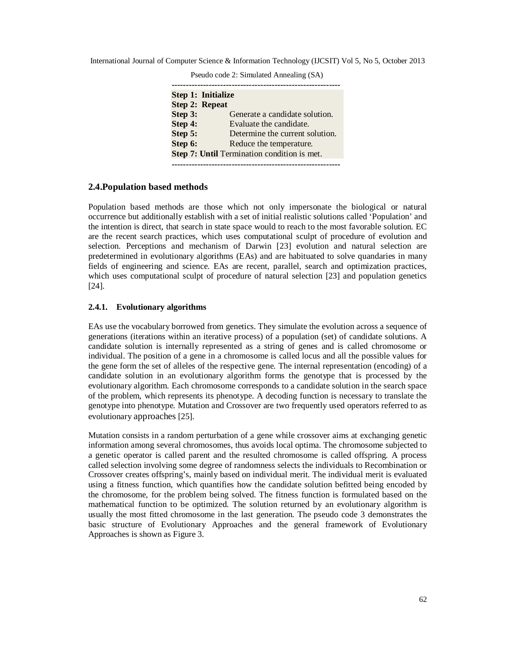|                       | Step 1: Initialize                          |
|-----------------------|---------------------------------------------|
| <b>Step 2: Repeat</b> |                                             |
| Step 3:               | Generate a candidate solution.              |
| Step 4:               | Evaluate the candidate.                     |
| Step 5:               | Determine the current solution.             |
| Step 6:               | Reduce the temperature.                     |
|                       | Step 7: Until Termination condition is met. |

Pseudo code 2: Simulated Annealing (SA)

#### **2.4.Population based methods**

Population based methods are those which not only impersonate the biological or natural occurrence but additionally establish with a set of initial realistic solutions called 'Population' and the intention is direct, that search in state space would to reach to the most favorable solution. EC are the recent search practices, which uses computational sculpt of procedure of evolution and selection. Perceptions and mechanism of Darwin [23] evolution and natural selection are predetermined in evolutionary algorithms (EAs) and are habituated to solve quandaries in many fields of engineering and science. EAs are recent, parallel, search and optimization practices, which uses computational sculpt of procedure of natural selection [23] and population genetics [24].

## **2.4.1. Evolutionary algorithms**

EAs use the vocabulary borrowed from genetics. They simulate the evolution across a sequence of generations (iterations within an iterative process) of a population (set) of candidate solutions. A candidate solution is internally represented as a string of genes and is called chromosome or individual. The position of a gene in a chromosome is called locus and all the possible values for the gene form the set of alleles of the respective gene. The internal representation (encoding) of a candidate solution in an evolutionary algorithm forms the genotype that is processed by the evolutionary algorithm. Each chromosome corresponds to a candidate solution in the search space of the problem, which represents its phenotype. A decoding function is necessary to translate the genotype into phenotype. Mutation and Crossover are two frequently used operators referred to as evolutionary approaches [25].

Mutation consists in a random perturbation of a gene while crossover aims at exchanging genetic information among several chromosomes, thus avoids local optima. The chromosome subjected to a genetic operator is called parent and the resulted chromosome is called offspring. A process called selection involving some degree of randomness selects the individuals to Recombination or Crossover creates offspring's, mainly based on individual merit. The individual merit is evaluated using a fitness function, which quantifies how the candidate solution befitted being encoded by the chromosome, for the problem being solved. The fitness function is formulated based on the mathematical function to be optimized. The solution returned by an evolutionary algorithm is usually the most fitted chromosome in the last generation. The pseudo code 3 demonstrates the basic structure of Evolutionary Approaches and the general framework of Evolutionary Approaches is shown as Figure 3.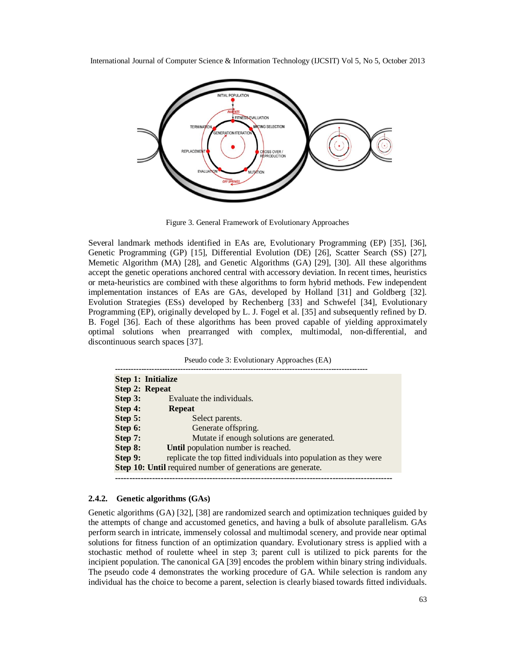

Figure 3. General Framework of Evolutionary Approaches

Several landmark methods identified in EAs are, Evolutionary Programming (EP) [35], [36], Genetic Programming (GP) [15], Differential Evolution (DE) [26], Scatter Search (SS) [27], Memetic Algorithm (MA) [28], and Genetic Algorithms (GA) [29], [30]. All these algorithms accept the genetic operations anchored central with accessory deviation. In recent times, heuristics or meta-heuristics are combined with these algorithms to form hybrid methods. Few independent implementation instances of EAs are GAs, developed by Holland [31] and Goldberg [32]. Evolution Strategies (ESs) developed by Rechenberg [33] and Schwefel [34], Evolutionary Programming (EP), originally developed by L. J. Fogel et al. [35] and subsequently refined by D. B. Fogel [36]. Each of these algorithms has been proved capable of yielding approximately optimal solutions when prearranged with complex, multimodal, non-differential, and discontinuous search spaces [37].

Pseudo code 3: Evolutionary Approaches (EA)

|                                                                    | Step 1: Initialize                                                |
|--------------------------------------------------------------------|-------------------------------------------------------------------|
| <b>Step 2: Repeat</b>                                              |                                                                   |
| Step 3:                                                            | Evaluate the individuals.                                         |
| Step 4:                                                            | <b>Repeat</b>                                                     |
| Step 5:                                                            | Select parents.                                                   |
| Step 6:                                                            | Generate offspring.                                               |
| Step 7:                                                            | Mutate if enough solutions are generated.                         |
| Step 8:                                                            | Until population number is reached.                               |
| Step 9:                                                            | replicate the top fitted individuals into population as they were |
| <b>Step 10: Until required number of generations are generate.</b> |                                                                   |
|                                                                    |                                                                   |

# **2.4.2. Genetic algorithms (GAs)**

Genetic algorithms (GA) [32], [38] are randomized search and optimization techniques guided by the attempts of change and accustomed genetics, and having a bulk of absolute parallelism. GAs perform search in intricate, immensely colossal and multimodal scenery, and provide near optimal solutions for fitness function of an optimization quandary. Evolutionary stress is applied with a stochastic method of roulette wheel in step 3; parent cull is utilized to pick parents for the incipient population. The canonical GA [39] encodes the problem within binary string individuals. The pseudo code 4 demonstrates the working procedure of GA. While selection is random any individual has the choice to become a parent, selection is clearly biased towards fitted individuals.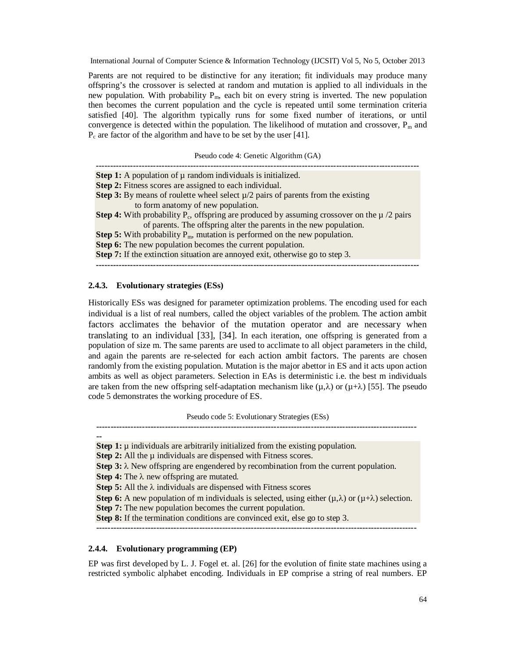Parents are not required to be distinctive for any iteration; fit individuals may produce many offspring's the crossover is selected at random and mutation is applied to all individuals in the new population. With probability  $P_m$ , each bit on every string is inverted. The new population then becomes the current population and the cycle is repeated until some termination criteria satisfied [40]. The algorithm typically runs for some fixed number of iterations, or until convergence is detected within the population. The likelihood of mutation and crossover,  $P_m$  and  $P_c$  are factor of the algorithm and have to be set by the user [41].

Pseudo code 4: Genetic Algorithm (GA)

| <b>Step 1:</b> A population of $\mu$ random individuals is initialized.                                    |
|------------------------------------------------------------------------------------------------------------|
| <b>Step 2:</b> Fitness scores are assigned to each individual.                                             |
| <b>Step 3:</b> By means of roulette wheel select $\mu/2$ pairs of parents from the existing                |
| to form anatomy of new population.                                                                         |
| <b>Step 4:</b> With probability $P_c$ , offspring are produced by assuming crossover on the $\mu$ /2 pairs |
| of parents. The offspring alter the parents in the new population.                                         |
| <b>Step 5:</b> With probability $P_m$ , mutation is performed on the new population.                       |
| <b>Step 6:</b> The new population becomes the current population.                                          |
| <b>Step 7:</b> If the extinction situation are annoyed exit, otherwise go to step 3.                       |
|                                                                                                            |

### **2.4.3. Evolutionary strategies (ESs)**

Historically ESs was designed for parameter optimization problems. The encoding used for each individual is a list of real numbers, called the object variables of the problem. The action ambit factors acclimates the behavior of the mutation operator and are necessary when translating to an individual [33], [34]. In each iteration, one offspring is generated from a population of size m. The same parents are used to acclimate to all object parameters in the child, and again the parents are re-selected for each action ambit factors. The parents are chosen randomly from the existing population. Mutation is the major abettor in ES and it acts upon action ambits as well as object parameters. Selection in EAs is deterministic i.e. the best m individuals are taken from the new offspring self-adaptation mechanism like  $(u,\lambda)$  or  $(u+\lambda)$  [55]. The pseudo code 5 demonstrates the working procedure of ES.

Pseudo code 5: Evolutionary Strategies (ESs)

**----------------------------------------------------------------------------------------------------------------**

**Step 1:**  $\mu$  individuals are arbitrarily initialized from the existing population. **Step 2:** All the  $\mu$  individuals are dispensed with Fitness scores. **Step 3:**  $\lambda$  New offspring are engendered by recombination from the current population. **Step 4:** The  $\lambda$  new offspring are mutated. **Step 5:** All the  $\lambda$  individuals are dispensed with Fitness scores **Step 6:** A new population of m individuals is selected, using either  $(\mu, \lambda)$  or  $(\mu + \lambda)$  selection. **Step 7:** The new population becomes the current population. **Step 8:** If the termination conditions are convinced exit, else go to step 3. **----------------------------------------------------------------------------------------------------------------**

#### **2.4.4. Evolutionary programming (EP)**

**--**

EP was first developed by L. J. Fogel et. al. [26] for the evolution of finite state machines using a restricted symbolic alphabet encoding. Individuals in EP comprise a string of real numbers. EP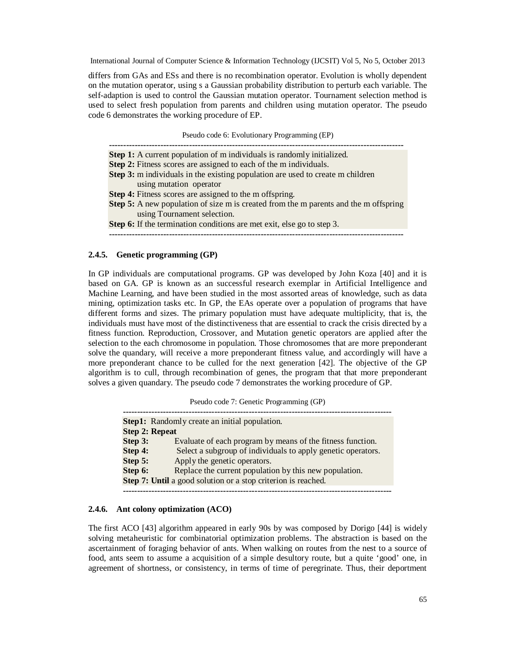differs from GAs and ESs and there is no recombination operator. Evolution is wholly dependent on the mutation operator, using s a Gaussian probability distribution to perturb each variable. The self-adaption is used to control the Gaussian mutation operator. Tournament selection method is used to select fresh population from parents and children using mutation operator. The pseudo code 6 demonstrates the working procedure of EP.

Pseudo code 6: Evolutionary Programming (EP)

**-------------------------------------------------------------------------------------------------------**

**Step 1:** A current population of m individuals is randomly initialized.

**Step 2:** Fitness scores are assigned to each of the m individuals.

**Step 3:** m individuals in the existing population are used to create m children using mutation operator

**Step 4:** Fitness scores are assigned to the m offspring.

**Step 5:** A new population of size m is created from the m parents and the m offspring using Tournament selection.

**Step 6:** If the termination conditions are met exit, else go to step 3.

**-------------------------------------------------------------------------------------------------------**

#### **2.4.5. Genetic programming (GP)**

In GP individuals are computational programs. GP was developed by John Koza [40] and it is based on GA. GP is known as an successful research exemplar in Artificial Intelligence and Machine Learning, and have been studied in the most assorted areas of knowledge, such as data mining, optimization tasks etc. In GP, the EAs operate over a population of programs that have different forms and sizes. The primary population must have adequate multiplicity, that is, the individuals must have most of the distinctiveness that are essential to crack the crisis directed by a fitness function. Reproduction, Crossover, and Mutation genetic operators are applied after the selection to the each chromosome in population. Those chromosomes that are more preponderant solve the quandary, will receive a more preponderant fitness value, and accordingly will have a more preponderant chance to be culled for the next generation [42]. The objective of the GP algorithm is to cull, through recombination of genes, the program that that more preponderant solves a given quandary. The pseudo code 7 demonstrates the working procedure of GP.

Pseudo code 7: Genetic Programming (GP)

**---------------------------------------------------------------------------------------------- Step1:** Randomly create an initial population. **Step 2: Repeat Step 3:** Evaluate of each program by means of the fitness function. **Step 4:** Select a subgroup of individuals to apply genetic operators. **Step 5:** Apply the genetic operators. **Step 6:** Replace the current population by this new population. **Step 7: Until** a good solution or a stop criterion is reached. **----------------------------------------------------------------------------------------------**

#### **2.4.6. Ant colony optimization (ACO)**

The first ACO [43] algorithm appeared in early 90s by was composed by Dorigo [44] is widely solving metaheuristic for combinatorial optimization problems. The abstraction is based on the ascertainment of foraging behavior of ants. When walking on routes from the nest to a source of food, ants seem to assume a acquisition of a simple desultory route, but a quite 'good' one, in agreement of shortness, or consistency, in terms of time of peregrinate. Thus, their deportment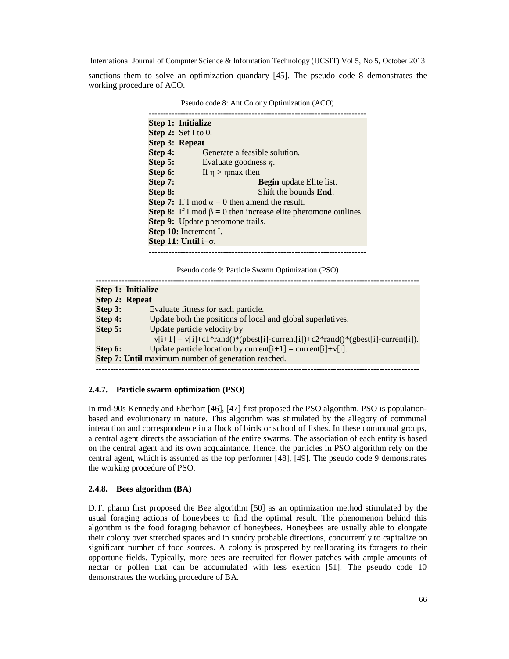sanctions them to solve an optimization quandary [45]. The pseudo code 8 demonstrates the working procedure of ACO.

|         | I seudo code o. Ant Colony Optimization (ACO)                               |
|---------|-----------------------------------------------------------------------------|
|         |                                                                             |
|         | Step 1: Initialize                                                          |
|         | <b>Step 2:</b> Set I to 0.                                                  |
|         | <b>Step 3: Repeat</b>                                                       |
| Step 4: | Generate a feasible solution.                                               |
| Step 5: | Evaluate goodness $\eta$ .                                                  |
| Step 6: | If $\eta$ > $\eta$ max then                                                 |
| Step 7: | <b>Begin</b> update Elite list.                                             |
| Step 8: | Shift the bounds <b>End</b> .                                               |
|         | <b>Step 7:</b> If I mod $\alpha = 0$ then amend the result.                 |
|         | <b>Step 8:</b> If I mod $\beta = 0$ then increase elite pheromone outlines. |
|         | <b>Step 9:</b> Update pheromone trails.                                     |
|         | Step 10: Increment I.                                                       |
|         | Step 11: Until $i=\sigma$ .                                                 |
|         |                                                                             |

Pseudo code 8: Ant Colony Optimization (ACO)

Pseudo code 9: Particle Swarm Optimization (PSO)

|         | <b>Step 1: Initialize</b>                                                                                       |
|---------|-----------------------------------------------------------------------------------------------------------------|
|         | <b>Step 2: Repeat</b>                                                                                           |
| Step 3: | Evaluate fitness for each particle.                                                                             |
| Step 4: | Update both the positions of local and global superlatives.                                                     |
| Step 5: | Update particle velocity by<br>$v[i+1] = v[i]+c1*rand()*(pbest[i]-current[i])+c2*rand()*(gbest[i]-current[i]).$ |
| Step 6: | Update particle location by current $[i+1]$ = current $[i]+v[i]$ .                                              |
|         | Step 7: Until maximum number of generation reached.                                                             |
|         |                                                                                                                 |

## **2.4.7. Particle swarm optimization (PSO)**

In mid-90s Kennedy and Eberhart [46], [47] first proposed the PSO algorithm. PSO is populationbased and evolutionary in nature. This algorithm was stimulated by the allegory of communal interaction and correspondence in a flock of birds or school of fishes. In these communal groups, a central agent directs the association of the entire swarms. The association of each entity is based on the central agent and its own acquaintance. Hence, the particles in PSO algorithm rely on the central agent, which is assumed as the top performer [48], [49]. The pseudo code 9 demonstrates the working procedure of PSO.

#### **2.4.8. Bees algorithm (BA)**

D.T. pharm first proposed the Bee algorithm [50] as an optimization method stimulated by the usual foraging actions of honeybees to find the optimal result. The phenomenon behind this algorithm is the food foraging behavior of honeybees. Honeybees are usually able to elongate their colony over stretched spaces and in sundry probable directions, concurrently to capitalize on significant number of food sources. A colony is prospered by reallocating its foragers to their opportune fields. Typically, more bees are recruited for flower patches with ample amounts of nectar or pollen that can be accumulated with less exertion [51]. The pseudo code 10 demonstrates the working procedure of BA.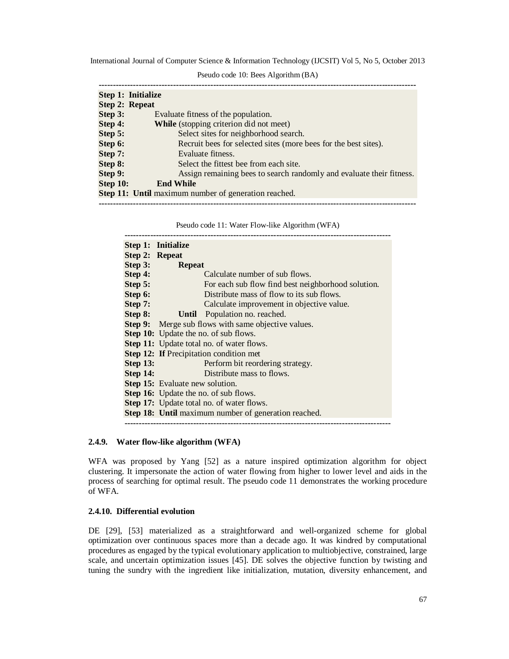|          | Step 1: Initialize                                                   |
|----------|----------------------------------------------------------------------|
|          | <b>Step 2: Repeat</b>                                                |
| Step 3:  | Evaluate fitness of the population.                                  |
| Step 4:  | <b>While</b> (stopping criterion did not meet)                       |
| Step 5:  | Select sites for neighborhood search.                                |
| Step 6:  | Recruit bees for selected sites (more bees for the best sites).      |
| Step 7:  | Evaluate fitness.                                                    |
| Step 8:  | Select the fittest bee from each site.                               |
| Step 9:  | Assign remaining bees to search randomly and evaluate their fitness. |
| Step 10: | <b>End While</b>                                                     |
|          | <b>Step 11: Until maximum number of generation reached.</b>          |
|          |                                                                      |

Pseudo code 11: Water Flow-like Algorithm (WFA)

|                 | Step 1: Initialize                                          |
|-----------------|-------------------------------------------------------------|
|                 | Step 2: Repeat                                              |
| Step 3:         | Repeat                                                      |
| Step 4:         | Calculate number of sub flows.                              |
| Step 5:         | For each sub flow find best neighborhood solution.          |
| Step 6:         | Distribute mass of flow to its sub flows.                   |
| Step 7:         | Calculate improvement in objective value.                   |
| Step 8:         | <b>Until</b> Population no. reached.                        |
|                 | <b>Step 9:</b> Merge sub flows with same objective values.  |
|                 | <b>Step 10:</b> Update the no. of sub flows.                |
|                 | <b>Step 11:</b> Update total no. of water flows.            |
|                 | <b>Step 12: If Precipitation condition met</b>              |
| <b>Step 13:</b> | Perform bit reordering strategy.                            |
| <b>Step 14:</b> | Distribute mass to flows.                                   |
|                 | <b>Step 15:</b> Evaluate new solution.                      |
|                 | <b>Step 16:</b> Update the no. of sub flows.                |
|                 | <b>Step 17:</b> Update total no. of water flows.            |
|                 | <b>Step 18:</b> Until maximum number of generation reached. |
|                 |                                                             |

#### **2.4.9. Water flow-like algorithm (WFA)**

WFA was proposed by Yang [52] as a nature inspired optimization algorithm for object clustering. It impersonate the action of water flowing from higher to lower level and aids in the process of searching for optimal result. The pseudo code 11 demonstrates the working procedure of WFA.

#### **2.4.10. Differential evolution**

DE [29], [53] materialized as a straightforward and well-organized scheme for global optimization over continuous spaces more than a decade ago. It was kindred by computational procedures as engaged by the typical evolutionary application to multiobjective, constrained, large scale, and uncertain optimization issues [45]. DE solves the objective function by twisting and tuning the sundry with the ingredient like initialization, mutation, diversity enhancement, and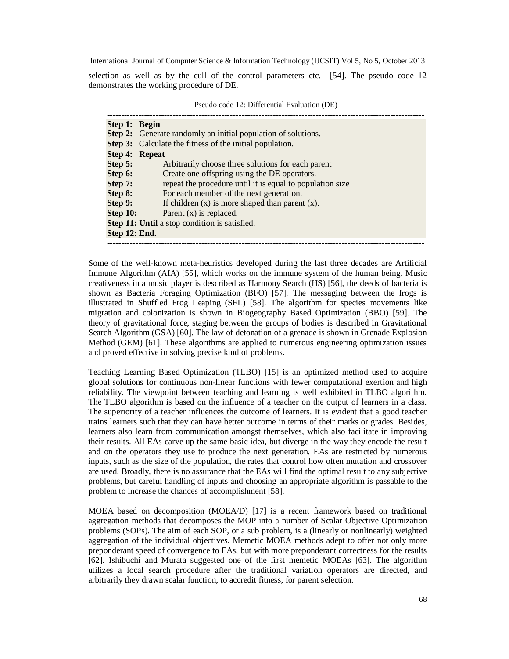selection as well as by the cull of the control parameters etc. [54]. The pseudo code 12 demonstrates the working procedure of DE.

| Step 1: Begin  |                                                                      |
|----------------|----------------------------------------------------------------------|
|                | <b>Step 2:</b> Generate randomly an initial population of solutions. |
|                | <b>Step 3:</b> Calculate the fitness of the initial population.      |
| Step 4: Repeat |                                                                      |
| Step 5:        | Arbitrarily choose three solutions for each parent                   |
| Step 6:        | Create one offspring using the DE operators.                         |
| Step 7:        | repeat the procedure until it is equal to population size            |
| Step 8:        | For each member of the next generation.                              |
| Step 9:        | If children $(x)$ is more shaped than parent $(x)$ .                 |
| Step 10:       | Parent $(x)$ is replaced.                                            |
|                | <b>Step 11: Until a stop condition is satisfied.</b>                 |
| Step 12: End.  |                                                                      |
|                |                                                                      |

Pseudo code 12: Differential Evaluation (DE)

Some of the well-known meta-heuristics developed during the last three decades are Artificial Immune Algorithm (AIA) [55], which works on the immune system of the human being. Music creativeness in a music player is described as Harmony Search (HS) [56], the deeds of bacteria is shown as Bacteria Foraging Optimization (BFO) [57]. The messaging between the frogs is illustrated in Shuffled Frog Leaping (SFL) [58]. The algorithm for species movements like migration and colonization is shown in Biogeography Based Optimization (BBO) [59]. The theory of gravitational force, staging between the groups of bodies is described in Gravitational Search Algorithm (GSA) [60]. The law of detonation of a grenade is shown in Grenade Explosion Method (GEM) [61]. These algorithms are applied to numerous engineering optimization issues and proved effective in solving precise kind of problems.

Teaching Learning Based Optimization (TLBO) [15] is an optimized method used to acquire global solutions for continuous non-linear functions with fewer computational exertion and high reliability. The viewpoint between teaching and learning is well exhibited in TLBO algorithm. The TLBO algorithm is based on the influence of a teacher on the output of learners in a class. The superiority of a teacher influences the outcome of learners. It is evident that a good teacher trains learners such that they can have better outcome in terms of their marks or grades. Besides, learners also learn from communication amongst themselves, which also facilitate in improving their results. All EAs carve up the same basic idea, but diverge in the way they encode the result and on the operators they use to produce the next generation. EAs are restricted by numerous inputs, such as the size of the population, the rates that control how often mutation and crossover are used. Broadly, there is no assurance that the EAs will find the optimal result to any subjective problems, but careful handling of inputs and choosing an appropriate algorithm is passable to the problem to increase the chances of accomplishment [58].

MOEA based on decomposition (MOEA/D) [17] is a recent framework based on traditional aggregation methods that decomposes the MOP into a number of Scalar Objective Optimization problems (SOPs). The aim of each SOP, or a sub problem, is a (linearly or nonlinearly) weighted aggregation of the individual objectives. Memetic MOEA methods adept to offer not only more preponderant speed of convergence to EAs, but with more preponderant correctness for the results [62]. Ishibuchi and Murata suggested one of the first memetic MOEAs [63]. The algorithm utilizes a local search procedure after the traditional variation operators are directed, and arbitrarily they drawn scalar function, to accredit fitness, for parent selection.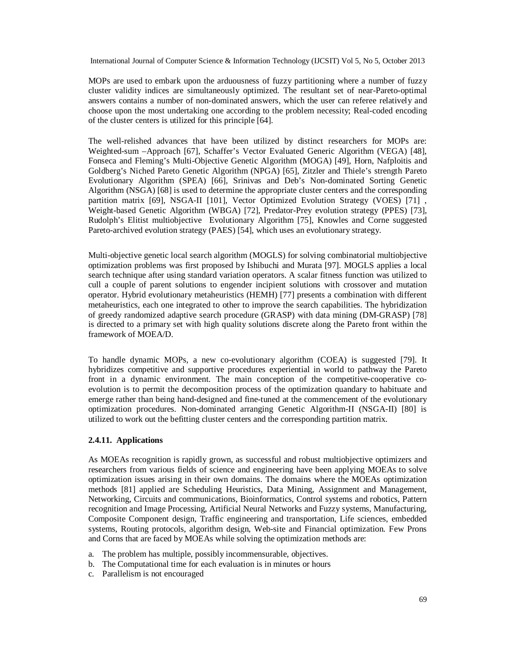MOPs are used to embark upon the arduousness of fuzzy partitioning where a number of fuzzy cluster validity indices are simultaneously optimized. The resultant set of near-Pareto-optimal answers contains a number of non-dominated answers, which the user can referee relatively and choose upon the most undertaking one according to the problem necessity; Real-coded encoding of the cluster centers is utilized for this principle [64].

The well-relished advances that have been utilized by distinct researchers for MOPs are: Weighted-sum –Approach [67], Schaffer's Vector Evaluated Generic Algorithm (VEGA) [48], Fonseca and Fleming's Multi-Objective Genetic Algorithm (MOGA) [49], Horn, Nafploitis and Goldberg's Niched Pareto Genetic Algorithm (NPGA) [65], Zitzler and Thiele's strength Pareto Evolutionary Algorithm (SPEA) [66], Srinivas and Deb's Non-dominated Sorting Genetic Algorithm (NSGA) [68] is used to determine the appropriate cluster centers and the corresponding partition matrix [69], NSGA-II [101], Vector Optimized Evolution Strategy (VOES) [71] , Weight-based Genetic Algorithm (WBGA) [72], Predator-Prey evolution strategy (PPES) [73], Rudolph's Elitist multiobjective Evolutionary Algorithm [75], Knowles and Corne suggested Pareto-archived evolution strategy (PAES) [54], which uses an evolutionary strategy.

Multi-objective genetic local search algorithm (MOGLS) for solving combinatorial multiobjective optimization problems was first proposed by Ishibuchi and Murata [97]. MOGLS applies a local search technique after using standard variation operators. A scalar fitness function was utilized to cull a couple of parent solutions to engender incipient solutions with crossover and mutation operator. Hybrid evolutionary metaheuristics (HEMH) [77] presents a combination with different metaheuristics, each one integrated to other to improve the search capabilities. The hybridization of greedy randomized adaptive search procedure (GRASP) with data mining (DM-GRASP) [78] is directed to a primary set with high quality solutions discrete along the Pareto front within the framework of MOEA/D.

To handle dynamic MOPs, a new co-evolutionary algorithm (COEA) is suggested [79]. It hybridizes competitive and supportive procedures experiential in world to pathway the Pareto front in a dynamic environment. The main conception of the competitive-cooperative coevolution is to permit the decomposition process of the optimization quandary to habituate and emerge rather than being hand-designed and fine-tuned at the commencement of the evolutionary optimization procedures. Non-dominated arranging Genetic Algorithm-II (NSGA-II) [80] is utilized to work out the befitting cluster centers and the corresponding partition matrix.

## **2.4.11. Applications**

As MOEAs recognition is rapidly grown, as successful and robust multiobjective optimizers and researchers from various fields of science and engineering have been applying MOEAs to solve optimization issues arising in their own domains. The domains where the MOEAs optimization methods [81] applied are Scheduling Heuristics, Data Mining, Assignment and Management, Networking, Circuits and communications, Bioinformatics, Control systems and robotics, Pattern recognition and Image Processing, Artificial Neural Networks and Fuzzy systems, Manufacturing, Composite Component design, Traffic engineering and transportation, Life sciences, embedded systems, Routing protocols, algorithm design, Web-site and Financial optimization. Few Prons and Corns that are faced by MOEAs while solving the optimization methods are:

- a. The problem has multiple, possibly incommensurable, objectives.
- b. The Computational time for each evaluation is in minutes or hours
- c. Parallelism is not encouraged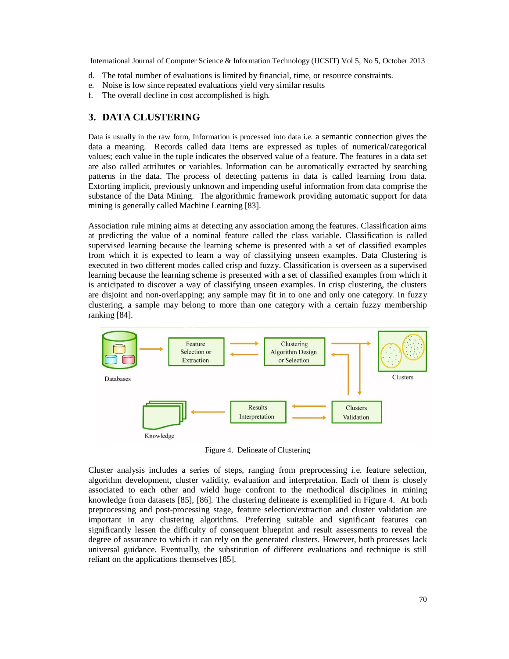- d. The total number of evaluations is limited by financial, time, or resource constraints.
- e. Noise is low since repeated evaluations yield very similar results
- f. The overall decline in cost accomplished is high.

# **3. DATA CLUSTERING**

Data is usually in the raw form, Information is processed into data i.e. a semantic connection gives the data a meaning. Records called data items are expressed as tuples of numerical/categorical values; each value in the tuple indicates the observed value of a feature. The features in a data set are also called attributes or variables. Information can be automatically extracted by searching patterns in the data. The process of detecting patterns in data is called learning from data. Extorting implicit, previously unknown and impending useful information from data comprise the substance of the Data Mining. The algorithmic framework providing automatic support for data mining is generally called Machine Learning [83].

Association rule mining aims at detecting any association among the features. Classification aims at predicting the value of a nominal feature called the class variable. Classification is called supervised learning because the learning scheme is presented with a set of classified examples from which it is expected to learn a way of classifying unseen examples. Data Clustering is executed in two different modes called crisp and fuzzy. Classification is overseen as a supervised learning because the learning scheme is presented with a set of classified examples from which it is anticipated to discover a way of classifying unseen examples. In crisp clustering, the clusters are disjoint and non-overlapping; any sample may fit in to one and only one category. In fuzzy clustering, a sample may belong to more than one category with a certain fuzzy membership ranking [84].



Figure 4. Delineate of Clustering

Cluster analysis includes a series of steps, ranging from preprocessing i.e. feature selection, algorithm development, cluster validity, evaluation and interpretation. Each of them is closely associated to each other and wield huge confront to the methodical disciplines in mining knowledge from datasets [85], [86]. The clustering delineate is exemplified in Figure 4. At both preprocessing and post-processing stage, feature selection/extraction and cluster validation are important in any clustering algorithms. Preferring suitable and significant features can significantly lessen the difficulty of consequent blueprint and result assessments to reveal the degree of assurance to which it can rely on the generated clusters. However, both processes lack universal guidance. Eventually, the substitution of different evaluations and technique is still reliant on the applications themselves [85].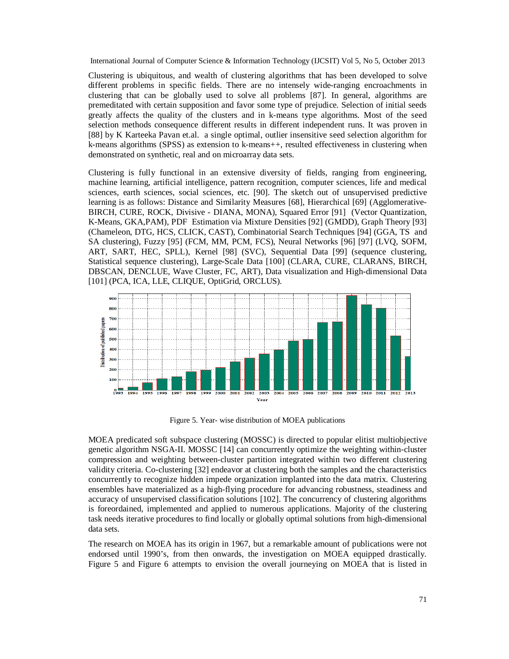Clustering is ubiquitous, and wealth of clustering algorithms that has been developed to solve different problems in specific fields. There are no intensely wide-ranging encroachments in clustering that can be globally used to solve all problems [87]. In general, algorithms are premeditated with certain supposition and favor some type of prejudice. Selection of initial seeds greatly affects the quality of the clusters and in k-means type algorithms. Most of the seed selection methods consequence different results in different independent runs. It was proven in [88] by K Karteeka Pavan et.al. a single optimal, outlier insensitive seed selection algorithm for k-means algorithms (SPSS) as extension to k-means++, resulted effectiveness in clustering when demonstrated on synthetic, real and on microarray data sets.

Clustering is fully functional in an extensive diversity of fields, ranging from engineering, machine learning, artificial intelligence, pattern recognition, computer sciences, life and medical sciences, earth sciences, social sciences, etc. [90]. The sketch out of unsupervised predictive learning is as follows: Distance and Similarity Measures [68], Hierarchical [69] (Agglomerative-BIRCH, CURE, ROCK, Divisive - DIANA, MONA), Squared Error [91] (Vector Quantization, K-Means, GKA,PAM), PDF Estimation via Mixture Densities [92] (GMDD), Graph Theory [93] (Chameleon, DTG, HCS, CLICK, CAST), Combinatorial Search Techniques [94] (GGA, TS and SA clustering), Fuzzy [95] (FCM, MM, PCM, FCS), Neural Networks [96] [97] (LVQ, SOFM, ART, SART, HEC, SPLL), Kernel [98] (SVC), Sequential Data [99] (sequence clustering, Statistical sequence clustering), Large-Scale Data [100] (CLARA, CURE, CLARANS, BIRCH, DBSCAN, DENCLUE, Wave Cluster, FC, ART), Data visualization and High-dimensional Data [101] (PCA, ICA, LLE, CLIQUE, OptiGrid, ORCLUS).



Figure 5. Year- wise distribution of MOEA publications

MOEA predicated soft subspace clustering (MOSSC) is directed to popular elitist multiobjective genetic algorithm NSGA-II. MOSSC [14] can concurrently optimize the weighting within-cluster compression and weighting between-cluster partition integrated within two different clustering validity criteria. Co-clustering [32] endeavor at clustering both the samples and the characteristics concurrently to recognize hidden impede organization implanted into the data matrix. Clustering ensembles have materialized as a high-flying procedure for advancing robustness, steadiness and accuracy of unsupervised classification solutions [102]. The concurrency of clustering algorithms is foreordained, implemented and applied to numerous applications. Majority of the clustering task needs iterative procedures to find locally or globally optimal solutions from high-dimensional data sets.

The research on MOEA has its origin in 1967, but a remarkable amount of publications were not endorsed until 1990's, from then onwards, the investigation on MOEA equipped drastically. Figure 5 and Figure 6 attempts to envision the overall journeying on MOEA that is listed in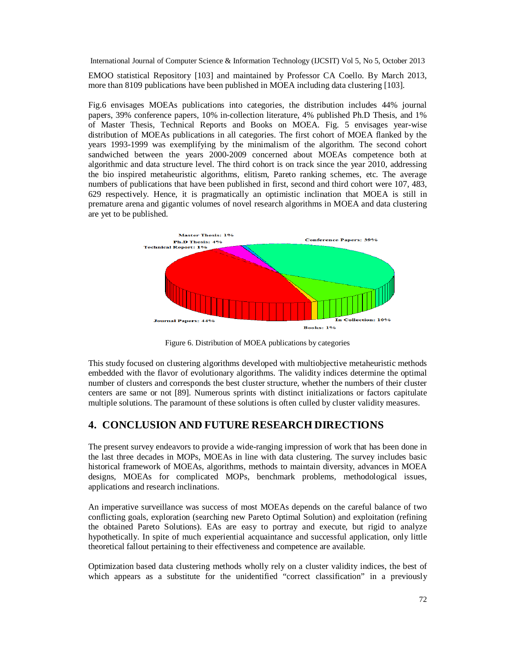EMOO statistical Repository [103] and maintained by Professor CA Coello. By March 2013, more than 8109 publications have been published in MOEA including data clustering [103].

Fig.6 envisages MOEAs publications into categories, the distribution includes 44% journal papers, 39% conference papers, 10% in-collection literature, 4% published Ph.D Thesis, and 1% of Master Thesis, Technical Reports and Books on MOEA. Fig. 5 envisages year-wise distribution of MOEAs publications in all categories. The first cohort of MOEA flanked by the years 1993-1999 was exemplifying by the minimalism of the algorithm. The second cohort sandwiched between the years 2000-2009 concerned about MOEAs competence both at algorithmic and data structure level. The third cohort is on track since the year 2010, addressing the bio inspired metaheuristic algorithms, elitism, Pareto ranking schemes, etc. The average numbers of publications that have been published in first, second and third cohort were 107, 483, 629 respectively. Hence, it is pragmatically an optimistic inclination that MOEA is still in premature arena and gigantic volumes of novel research algorithms in MOEA and data clustering are yet to be published.



Figure 6. Distribution of MOEA publications by categories

This study focused on clustering algorithms developed with multiobjective metaheuristic methods embedded with the flavor of evolutionary algorithms. The validity indices determine the optimal number of clusters and corresponds the best cluster structure, whether the numbers of their cluster centers are same or not [89]. Numerous sprints with distinct initializations or factors capitulate multiple solutions. The paramount of these solutions is often culled by cluster validity measures.

# **4. CONCLUSION AND FUTURE RESEARCH DIRECTIONS**

The present survey endeavors to provide a wide-ranging impression of work that has been done in the last three decades in MOPs, MOEAs in line with data clustering. The survey includes basic historical framework of MOEAs, algorithms, methods to maintain diversity, advances in MOEA designs, MOEAs for complicated MOPs, benchmark problems, methodological issues, applications and research inclinations.

An imperative surveillance was success of most MOEAs depends on the careful balance of two conflicting goals, exploration (searching new Pareto Optimal Solution) and exploitation (refining the obtained Pareto Solutions). EAs are easy to portray and execute, but rigid to analyze hypothetically. In spite of much experiential acquaintance and successful application, only little theoretical fallout pertaining to their effectiveness and competence are available.

Optimization based data clustering methods wholly rely on a cluster validity indices, the best of which appears as a substitute for the unidentified "correct classification" in a previously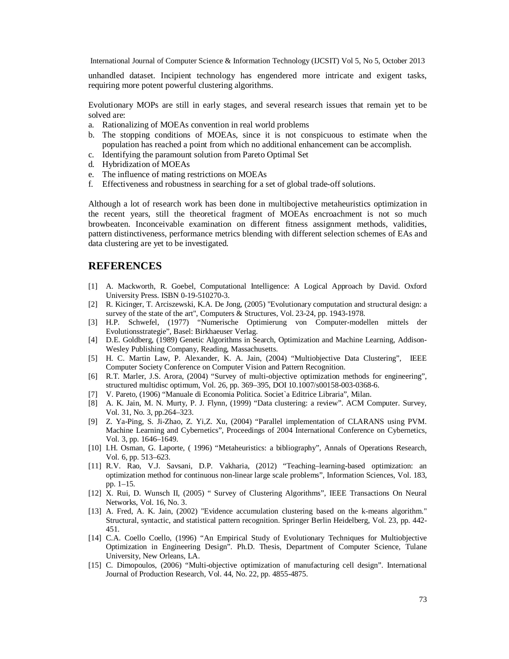unhandled dataset. Incipient technology has engendered more intricate and exigent tasks, requiring more potent powerful clustering algorithms.

Evolutionary MOPs are still in early stages, and several research issues that remain yet to be solved are:

- a. Rationalizing of MOEAs convention in real world problems
- b. The stopping conditions of MOEAs, since it is not conspicuous to estimate when the population has reached a point from which no additional enhancement can be accomplish.
- c. Identifying the paramount solution from Pareto Optimal Set
- d. Hybridization of MOEAs
- e. The influence of mating restrictions on MOEAs
- f. Effectiveness and robustness in searching for a set of global trade-off solutions.

Although a lot of research work has been done in multibojective metaheuristics optimization in the recent years, still the theoretical fragment of MOEAs encroachment is not so much browbeaten. Inconceivable examination on different fitness assignment methods, validities, pattern distinctiveness, performance metrics blending with different selection schemes of EAs and data clustering are yet to be investigated.

# **REFERENCES**

- [1] A. Mackworth, R. Goebel, Computational Intelligence: A Logical Approach by David. Oxford University Press. ISBN 0-19-510270-3.
- [2] R. Kicinger, T. Arciszewski, K.A. De Jong, (2005) "Evolutionary computation and structural design: a survey of the state of the art", Computers & Structures, Vol. 23-24, pp. 1943-1978.
- [3] H.P. Schwefel, (1977) "Numerische Optimierung von Computer-modellen mittels der Evolutionsstrategie", Basel: Birkhaeuser Verlag.
- [4] D.E. Goldberg, (1989) Genetic Algorithms in Search, Optimization and Machine Learning, Addison-Wesley Publishing Company, Reading, Massachusetts.
- [5] H. C. Martin Law, P. Alexander, K. A. Jain, (2004) "Multiobjective Data Clustering", IEEE Computer Society Conference on Computer Vision and Pattern Recognition.
- [6] R.T. Marler, J.S. Arora, (2004) "Survey of multi-objective optimization methods for engineering", structured multidisc optimum, Vol. 26, pp. 369–395, DOI 10.1007/s00158-003-0368-6.
- [7] V. Pareto, (1906) "Manuale di Economia Politica. Societ`a Editrice Libraria", Milan.
- [8] A. K. Jain, M. N. Murty, P. J. Flynn, (1999) "Data clustering: a review". ACM Computer. Survey, Vol. 31, No. 3, pp.264–323.
- [9] Z. Ya-Ping, S. Ji-Zhao, Z. Yi,Z. Xu, (2004) "Parallel implementation of CLARANS using PVM. Machine Learning and Cybernetics", Proceedings of 2004 International Conference on Cybernetics, Vol. 3, pp. 1646–1649.
- [10] I.H. Osman, G. Laporte, ( 1996) "Metaheuristics: a bibliography", Annals of Operations Research, Vol. 6, pp. 513–623.
- [11] R.V. Rao, V.J. Savsani, D.P. Vakharia, (2012) "Teaching–learning-based optimization: an optimization method for continuous non-linear large scale problems", Information Sciences, Vol. 183, pp. 1–15.
- [12] X. Rui, D. Wunsch II, (2005) " Survey of Clustering Algorithms", IEEE Transactions On Neural Networks, Vol. 16, No. 3.
- [13] A. Fred, A. K. Jain, (2002) "Evidence accumulation clustering based on the k-means algorithm." Structural, syntactic, and statistical pattern recognition. Springer Berlin Heidelberg, Vol. 23, pp. 442- 451.
- [14] C.A. Coello Coello, (1996) "An Empirical Study of Evolutionary Techniques for Multiobjective Optimization in Engineering Design". Ph.D. Thesis, Department of Computer Science, Tulane University, New Orleans, LA.
- [15] C. Dimopoulos, (2006) "Multi-objective optimization of manufacturing cell design". International Journal of Production Research, Vol. 44, No. 22, pp. 4855-4875.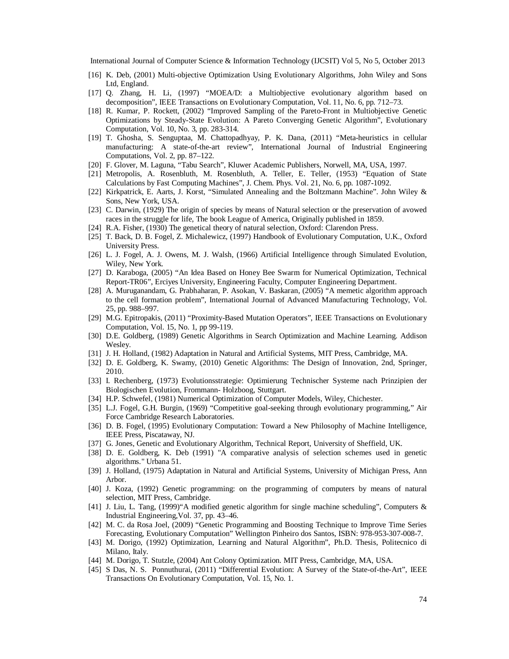- [16] K. Deb, (2001) Multi-objective Optimization Using Evolutionary Algorithms, John Wiley and Sons Ltd, England.
- [17] Q. Zhang, H. Li, (1997) "MOEA/D: a Multiobjective evolutionary algorithm based on decomposition", IEEE Transactions on Evolutionary Computation, Vol. 11, No. 6, pp. 712–73.
- [18] R. Kumar, P. Rockett, (2002) "Improved Sampling of the Pareto-Front in Multiobjective Genetic Optimizations by Steady-State Evolution: A Pareto Converging Genetic Algorithm", Evolutionary Computation, Vol. 10, No. 3, pp. 283-314.
- [19] T. Ghosha, S. Senguptaa, M. Chattopadhyay, P. K. Dana, (2011) "Meta-heuristics in cellular manufacturing: A state-of-the-art review", International Journal of Industrial Engineering Computations, Vol. 2, pp. 87–122.
- [20] F. Glover, M. Laguna, "Tabu Search", Kluwer Academic Publishers, Norwell, MA, USA, 1997.
- [21] Metropolis, A. Rosenbluth, M. Rosenbluth, A. Teller, E. Teller, (1953) "Equation of State Calculations by Fast Computing Machines", J. Chem. Phys. Vol. 21, No. 6, pp. 1087-1092.
- [22] Kirkpatrick, E. Aarts, J. Korst, "Simulated Annealing and the Boltzmann Machine". John Wiley & Sons, New York, USA.
- [23] C. Darwin, (1929) The origin of species by means of Natural selection or the preservation of avowed races in the struggle for life, The book League of America, Originally published in 1859.
- [24] R.A. Fisher, (1930) The genetical theory of natural selection, Oxford: Clarendon Press.
- [25] T. Back, D. B. Fogel, Z. Michalewicz, (1997) Handbook of Evolutionary Computation, U.K., Oxford University Press.
- [26] L. J. Fogel, A. J. Owens, M. J. Walsh, (1966) Artificial Intelligence through Simulated Evolution, Wiley, New York.
- [27] D. Karaboga, (2005) "An Idea Based on Honey Bee Swarm for Numerical Optimization, Technical Report-TR06", Erciyes University, Engineering Faculty, Computer Engineering Department.
- [28] A. Muruganandam, G. Prabhaharan, P. Asokan, V. Baskaran, (2005) "A memetic algorithm approach to the cell formation problem", International Journal of Advanced Manufacturing Technology, Vol. 25, pp. 988–997.
- [29] M.G. Epitropakis, (2011) "Proximity-Based Mutation Operators", IEEE Transactions on Evolutionary Computation, Vol. 15, No. 1, pp 99-119.
- [30] D.E. Goldberg, (1989) Genetic Algorithms in Search Optimization and Machine Learning. Addison Wesley.
- [31] J. H. Holland, (1982) Adaptation in Natural and Artificial Systems, MIT Press, Cambridge, MA.
- [32] D. E. Goldberg, K. Swamy, (2010) Genetic Algorithms: The Design of Innovation, 2nd, Springer, 2010.
- [33] I. Rechenberg, (1973) Evolutionsstrategie: Optimierung Technischer Systeme nach Prinzipien der Biologischen Evolution, Frommann- Holzboog, Stuttgart.
- [34] H.P. Schwefel, (1981) Numerical Optimization of Computer Models, Wiley, Chichester.
- [35] L.J. Fogel, G.H. Burgin, (1969) "Competitive goal-seeking through evolutionary programming," Air Force Cambridge Research Laboratories.
- [36] D. B. Fogel, (1995) Evolutionary Computation: Toward a New Philosophy of Machine Intelligence, IEEE Press, Piscataway, NJ.
- [37] G. Jones, Genetic and Evolutionary Algorithm, Technical Report, University of Sheffield, UK.
- [38] D. E. Goldberg, K. Deb (1991) "A comparative analysis of selection schemes used in genetic algorithms." Urbana 51.
- [39] J. Holland, (1975) Adaptation in Natural and Artificial Systems, University of Michigan Press, Ann Arbor.
- [40] J. Koza, (1992) Genetic programming: on the programming of computers by means of natural selection, MIT Press, Cambridge.
- [41] J. Liu, L. Tang, (1999)"A modified genetic algorithm for single machine scheduling", Computers & Industrial Engineering,Vol. 37, pp. 43–46.
- [42] M. C. da Rosa Joel, (2009) "Genetic Programming and Boosting Technique to Improve Time Series Forecasting, Evolutionary Computation" Wellington Pinheiro dos Santos, ISBN: 978-953-307-008-7.
- [43] M. Dorigo, (1992) Optimization, Learning and Natural Algorithm", Ph.D. Thesis, Politecnico di Milano, Italy.
- [44] M. Dorigo, T. Stutzle, (2004) Ant Colony Optimization. MIT Press, Cambridge, MA, USA.
- [45] S Das, N. S. Ponnuthurai, (2011) "Differential Evolution: A Survey of the State-of-the-Art", IEEE Transactions On Evolutionary Computation, Vol. 15, No. 1.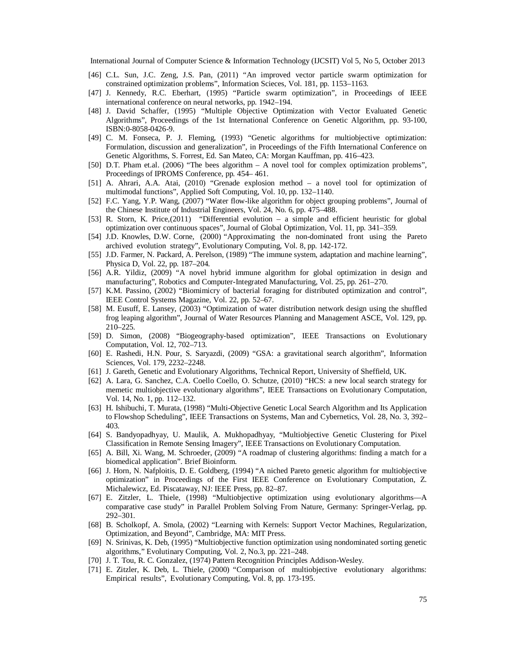- [46] C.L. Sun, J.C. Zeng, J.S. Pan, (2011) "An improved vector particle swarm optimization for constrained optimization problems", Information Scieces, Vol. 181, pp. 1153–1163.
- [47] J. Kennedy, R.C. Eberhart, (1995) "Particle swarm optimization", in Proceedings of IEEE international conference on neural networks, pp. 1942–194.
- [48] J. David Schaffer, (1995) "Multiple Objective Optimization with Vector Evaluated Genetic Algorithms", Proceedings of the 1st International Conference on Genetic Algorithm, pp. 93-100, ISBN:0-8058-0426-9.
- [49] C. M. Fonseca, P. J. Fleming, (1993) "Genetic algorithms for multiobjective optimization: Formulation, discussion and generalization", in Proceedings of the Fifth International Conference on Genetic Algorithms, S. Forrest, Ed. San Mateo, CA: Morgan Kauffman, pp. 416–423.
- [50] D.T. Pham et.al. (2006) "The bees algorithm A novel tool for complex optimization problems", Proceedings of IPROMS Conference, pp. 454– 461.
- [51] A. Ahrari, A.A. Atai, (2010) "Grenade explosion method a novel tool for optimization of multimodal functions", Applied Soft Computing, Vol. 10, pp. 132–1140.
- [52] F.C. Yang, Y.P. Wang, (2007) "Water flow-like algorithm for object grouping problems", Journal of the Chinese Institute of Industrial Engineers, Vol. 24, No. 6, pp. 475–488.
- [53] R. Storn, K. Price,(2011) "Differential evolution a simple and efficient heuristic for global optimization over continuous spaces", Journal of Global Optimization, Vol. 11, pp. 341–359.
- [54] J.D. Knowles, D.W. Corne, (2000) "Approximating the non-dominated front using the Pareto archived evolution strategy", Evolutionary Computing, Vol. 8, pp. 142-172.
- [55] J.D. Farmer, N. Packard, A. Perelson, (1989) "The immune system, adaptation and machine learning", Physica D, Vol. 22, pp. 187–204.
- [56] A.R. Yildiz, (2009) "A novel hybrid immune algorithm for global optimization in design and manufacturing", Robotics and Computer-Integrated Manufacturing, Vol. 25, pp. 261–270.
- [57] K.M. Passino, (2002) "Biomimicry of bacterial foraging for distributed optimization and control", IEEE Control Systems Magazine, Vol. 22, pp. 52–67.
- [58] M. Eusuff, E. Lansey, (2003) "Optimization of water distribution network design using the shuffled frog leaping algorithm", Journal of Water Resources Planning and Management ASCE, Vol. 129, pp. 210–225.
- [59] D. Simon, (2008) "Biogeography-based optimization", IEEE Transactions on Evolutionary Computation, Vol. 12, 702–713.
- [60] E. Rashedi, H.N. Pour, S. Saryazdi, (2009) "GSA: a gravitational search algorithm", Information Sciences, Vol. 179, 2232–2248.
- [61] J. Gareth, Genetic and Evolutionary Algorithms, Technical Report, University of Sheffield, UK.
- [62] A. Lara, G. Sanchez, C.A. Coello Coello, O. Schutze, (2010) "HCS: a new local search strategy for memetic multiobjective evolutionary algorithms", IEEE Transactions on Evolutionary Computation, Vol. 14, No. 1, pp. 112–132.
- [63] H. Ishibuchi, T. Murata, (1998) "Multi-Objective Genetic Local Search Algorithm and Its Application to Flowshop Scheduling", IEEE Transactions on Systems, Man and Cybernetics, Vol. 28, No. 3, 392– 403.
- [64] S. Bandyopadhyay, U. Maulik, A. Mukhopadhyay, "Multiobjective Genetic Clustering for Pixel Classification in Remote Sensing Imagery", IEEE Transactions on Evolutionary Computation.
- [65] A. Bill, Xi. Wang, M. Schroeder, (2009) "A roadmap of clustering algorithms: finding a match for a biomedical application". Brief Bioinform.
- [66] J. Horn, N. Nafploitis, D. E. Goldberg, (1994) "A niched Pareto genetic algorithm for multiobjective optimization" in Proceedings of the First IEEE Conference on Evolutionary Computation, Z. Michalewicz, Ed. Piscataway, NJ: IEEE Press, pp. 82–87.
- [67] E. Zitzler, L. Thiele, (1998) "Multiobjective optimization using evolutionary algorithms—A comparative case study" in Parallel Problem Solving From Nature, Germany: Springer-Verlag, pp. 292–301.
- [68] B. Scholkopf, A. Smola, (2002) "Learning with Kernels: Support Vector Machines, Regularization, Optimization, and Beyond", Cambridge, MA: MIT Press.
- [69] N. Srinivas, K. Deb, (1995) "Multiobjective function optimization using nondominated sorting genetic algorithms," Evolutinary Computing, Vol. 2, No.3, pp. 221–248.
- [70] J. T. Tou, R. C. Gonzalez, (1974) Pattern Recognition Principles Addison-Wesley.
- [71] E. Zitzler, K. Deb, L. Thiele, (2000) "Comparison of multiobjective evolutionary algorithms: Empirical results", Evolutionary Computing, Vol. 8, pp. 173-195.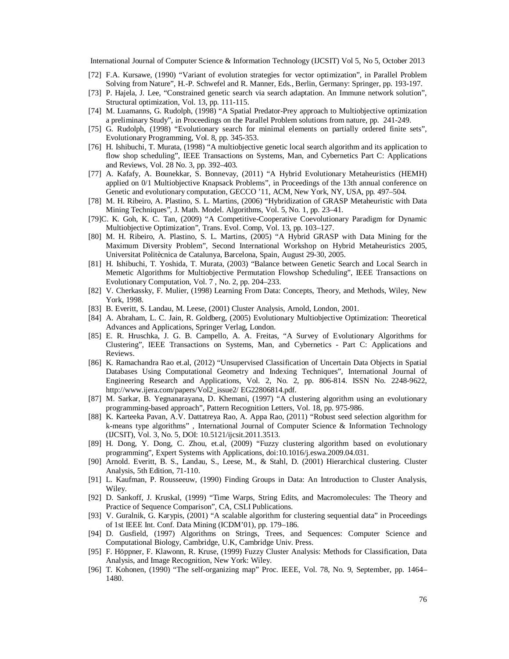- [72] F.A. Kursawe, (1990) "Variant of evolution strategies for vector optimization", in Parallel Problem Solving from Nature", H.-P. Schwefel and R. Manner, Eds., Berlin, Germany: Springer, pp. 193-197.
- [73] P. Hajela, J. Lee, "Constrained genetic search via search adaptation. An Immune network solution", Structural optimization, Vol. 13, pp. 111-115.
- [74] M. Luamanns, G. Rudolph, (1998) "A Spatial Predator-Prey approach to Multiobjective optimization a preliminary Study", in Proceedings on the Parallel Problem solutions from nature, pp. 241-249.
- [75] G. Rudolph, (1998) "Evolutionary search for minimal elements on partially ordered finite sets", Evolutionary Programming, Vol. 8, pp. 345-353.
- [76] H. Ishibuchi, T. Murata, (1998) "A multiobjective genetic local search algorithm and its application to flow shop scheduling", IEEE Transactions on Systems, Man, and Cybernetics Part C: Applications and Reviews, Vol. 28 No. 3, pp. 392–403.
- [77] A. Kafafy, A. Bounekkar, S. Bonnevay, (2011) "A Hybrid Evolutionary Metaheuristics (HEMH) applied on 0/1 Multiobjective Knapsack Problems", in Proceedings of the 13th annual conference on Genetic and evolutionary computation, GECCO '11, ACM, New York, NY, USA, pp. 497–504.
- [78] M. H. Ribeiro, A. Plastino, S. L. Martins, (2006) "Hybridization of GRASP Metaheuristic with Data Mining Techniques", J. Math. Model. Algorithms, Vol. 5, No. 1, pp. 23–41.
- [79]C. K. Goh, K. C. Tan, (2009) "A Competitive-Cooperative Coevolutionary Paradigm for Dynamic Multiobjective Optimization", Trans. Evol. Comp, Vol. 13, pp. 103–127.
- [80] M. H. Ribeiro, A. Plastino, S. L. Martins, (2005) "A Hybrid GRASP with Data Mining for the Maximum Diversity Problem", Second International Workshop on Hybrid Metaheuristics 2005, Universitat Politècnica de Catalunya, Barcelona, Spain, August 29-30, 2005.
- [81] H. Ishibuchi, T. Yoshida, T. Murata, (2003) "Balance between Genetic Search and Local Search in Memetic Algorithms for Multiobjective Permutation Flowshop Scheduling", IEEE Transactions on Evolutionary Computation, Vol. 7 , No. 2, pp. 204–233.
- [82] V. Cherkassky, F. Mulier, (1998) Learning From Data: Concepts, Theory, and Methods, Wiley, New York, 1998.
- [83] B. Everitt, S. Landau, M. Leese, (2001) Cluster Analysis, Arnold, London, 2001.
- [84] A. Abraham, L. C. Jain, R. Goldberg, (2005) Evolutionary Multiobjective Optimization: Theoretical Advances and Applications, Springer Verlag, London.
- [85] E. R. Hruschka, J. G. B. Campello, A. A. Freitas, "A Survey of Evolutionary Algorithms for Clustering", IEEE Transactions on Systems, Man, and Cybernetics - Part C: Applications and Reviews.
- [86] K. Ramachandra Rao et.al, (2012) "Unsupervised Classification of Uncertain Data Objects in Spatial Databases Using Computational Geometry and Indexing Techniques", International Journal of Engineering Research and Applications, Vol. 2, No. 2, pp. 806-814. ISSN No. 2248-9622, http://www.ijera.com/papers/Vol2\_issue2/ EG22806814.pdf.
- [87] M. Sarkar, B. Yegnanarayana, D. Khemani, (1997) "A clustering algorithm using an evolutionary programming-based approach", Pattern Recognition Letters, Vol. 18, pp. 975-986.
- [88] K. Karteeka Pavan, A.V. Dattatreya Rao, A. Appa Rao, (2011) "Robust seed selection algorithm for k-means type algorithms" , International Journal of Computer Science & Information Technology (IJCSIT), Vol. 3, No. 5, DOI: 10.5121/ijcsit.2011.3513.
- [89] H. Dong, Y. Dong, C. Zhou, et.al, (2009) "Fuzzy clustering algorithm based on evolutionary programming", Expert Systems with Applications, doi:10.1016/j.eswa.2009.04.031.
- [90] Arnold. Everitt, B. S., Landau, S., Leese, M., & Stahl, D. (2001) Hierarchical clustering. Cluster Analysis, 5th Edition, 71-110.
- [91] L. Kaufman, P. Rousseeuw, (1990) Finding Groups in Data: An Introduction to Cluster Analysis, Wiley.
- [92] D. Sankoff, J. Kruskal, (1999) "Time Warps, String Edits, and Macromolecules: The Theory and Practice of Sequence Comparison", CA, CSLI Publications.
- [93] V. Guralnik, G. Karypis, (2001) "A scalable algorithm for clustering sequential data" in Proceedings of 1st IEEE Int. Conf. Data Mining (ICDM'01), pp. 179–186.
- [94] D. Gusfield, (1997) Algorithms on Strings, Trees, and Sequences: Computer Science and Computational Biology, Cambridge, U.K, Cambridge Univ. Press.
- [95] F. Höppner, F. Klawonn, R. Kruse, (1999) Fuzzy Cluster Analysis: Methods for Classification, Data Analysis, and Image Recognition, New York: Wiley.
- [96] T. Kohonen, (1990) "The self-organizing map" Proc. IEEE, Vol. 78, No. 9, September, pp. 1464– 1480.